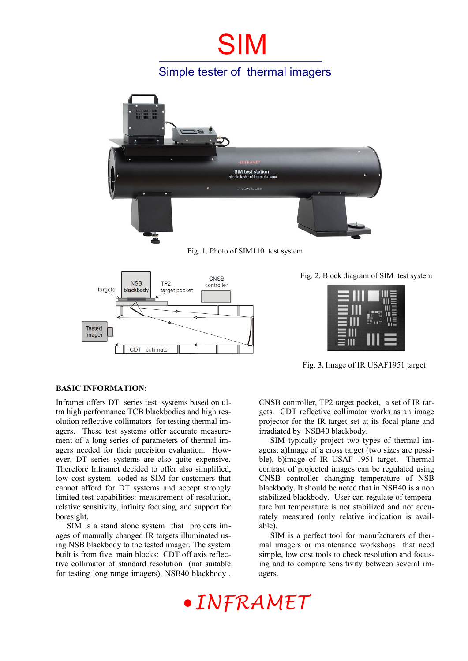## SIM

### Simple tester of thermal imagers



Fig. 1. Photo of SIM110 test system



Fig. 2. Block diagram of SIM test system



Fig. 3**.** Image of IR USAF1951 target

#### **BASIC INFORMATION:**

Inframet offers DT series test systems based on ultra high performance TCB blackbodies and high resolution reflective collimators for testing thermal imagers. These test systems offer accurate measurement of a long series of parameters of thermal imagers needed for their precision evaluation. However, DT series systems are also quite expensive. Therefore Inframet decided to offer also simplified, low cost system coded as SIM for customers that cannot afford for DT systems and accept strongly limited test capabilities: measurement of resolution, relative sensitivity, infinity focusing, and support for boresight.

SIM is a stand alone system that projects images of manually changed IR targets illuminated using NSB blackbody to the tested imager. The system built is from five main blocks: CDT off axis reflective collimator of standard resolution (not suitable for testing long range imagers), NSB40 blackbody . CNSB controller, TP2 target pocket, a set of IR targets. CDT reflective collimator works as an image projector for the IR target set at its focal plane and irradiated by NSB40 blackbody.

SIM typically project two types of thermal imagers: a)Image of a cross target (two sizes are possible), b)image of IR USAF 1951 target. Thermal contrast of projected images can be regulated using CNSB controller changing temperature of NSB blackbody. It should be noted that in NSB40 is a non stabilized blackbody. User can regulate of temperature but temperature is not stabilized and not accurately measured (only relative indication is available).

SIM is a perfect tool for manufacturers of thermal imagers or maintenance workshops that need simple, low cost tools to check resolution and focusing and to compare sensitivity between several imagers.

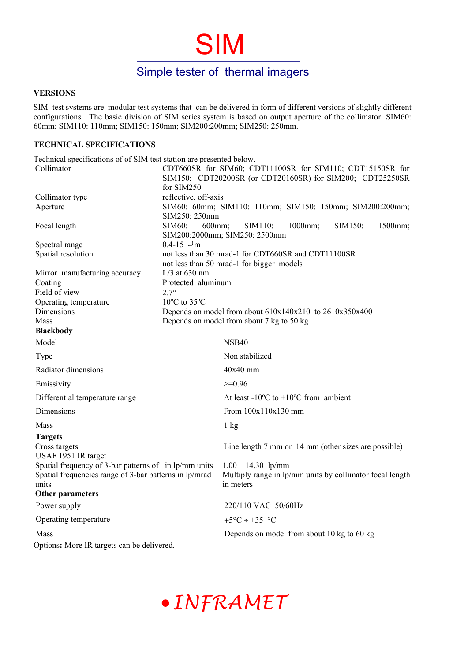## Simple tester of thermal imagers

SIM

#### **VERSIONS**

SIM test systems are modular test systems that can be delivered in form of different versions of slightly different configurations. The basic division of SIM series system is based on output aperture of the collimator: SIM60: 60mm; SIM110: 110mm; SIM150: 150mm; SIM200:200mm; SIM250: 250mm.

#### **TECHNICAL SPECIFICATIONS**

Technical specifications of of SIM test station are presented below. Collimator CDT660SR for SIM60; CDT11100SR for SIM110; CDT15150SR for SIM150; CDT20200SR (or CDT20160SR) for SIM200; CDT25250SR for SIM250 Collimator type reflective, off-axis Aperture SIM60: 60mm; SIM110: 110mm; SIM150: 150mm; SIM200:200mm; SIM250: 250mm Focal length SIM60: 600mm; SIM110: 1000mm; SIM150: 1500mm; SIM200:2000mm; SIM250: 2500mm Spectral range  $0.4-15 \text{ } \cup \text{m}$ <br>Spatial resolution not less than not less than 30 mrad-1 for CDT660SR and CDT11100SR not less than 50 mrad-1 for bigger models Mirror manufacturing accuracy L/3 at 630 nm Coating **Protected aluminum** Field of view  $2.7^\circ$ Operating temperature 10<sup>o</sup>C to 35<sup>o</sup>C Dimensions Depends on model from about  $610x140x210$  to  $2610x350x400$ Mass Depends on model from about 7 kg to 50 kg  **Blackbody** Model NSB40 Type Non stabilized  $Radiator$  dimensions  $40x40$  mm Emissivity >=0.96 Differential temperature range  $\qquad \qquad \text{At least -10\textdegree C to +10\textdegree C from ambient}$ Dimensions From  $100x110x130$  mm Mass 1 kg  **Targets** Cross targets Line length 7 mm or 14 mm (other sizes are possible) USAF 1951 IR target Spatial frequency of 3-bar patterns of in lp/mm units  $1,00 - 14,30$  lp/mm Spatial frequencies range of 3-bar patterns in lp/mrad units Multiply range in lp/mm units by collimator focal length in meters **Other parameters**  Power supply 220/110 VAC 50/60Hz Operating temperature  $+5^{\circ}C \div 35^{\circ}C$ Mass **Depends on model from about 10 kg** to 60 kg Options**:** More IR targets can be delivered.